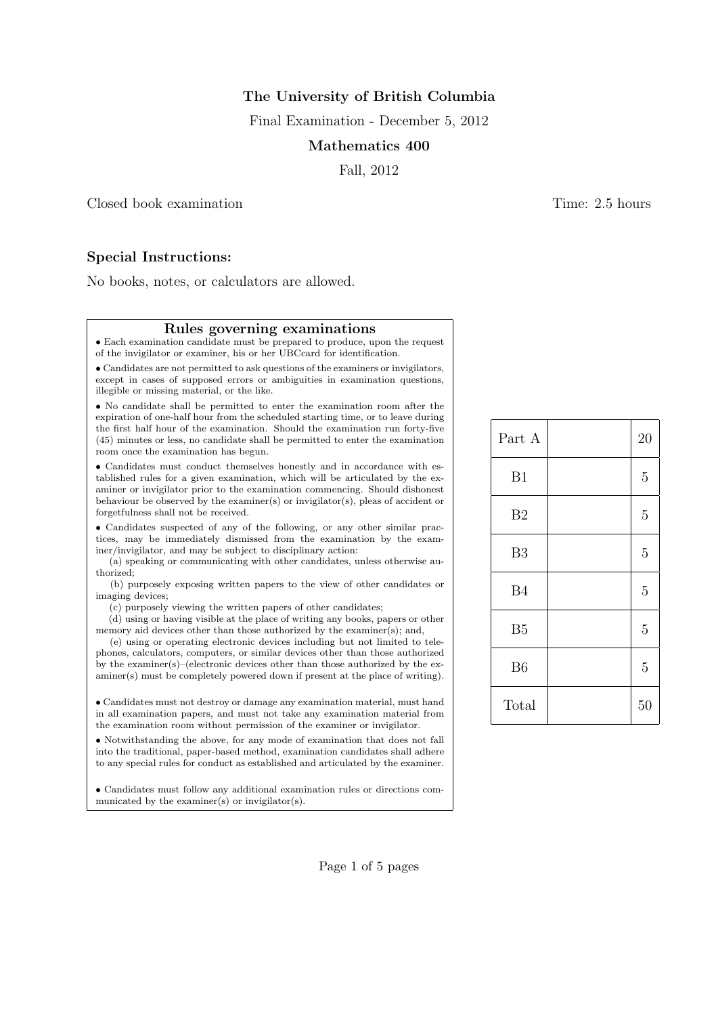The University of British Columbia

Final Examination - December 5, 2012

## Mathematics 400

Fall, 2012

Closed book examination **Time:** 2.5 hours

# Special Instructions:

No books, notes, or calculators are allowed.

# Rules governing examinations

• Each examination candidate must be prepared to produce, upon the request of the invigilator or examiner, his or her UBCcard for identification.

• Candidates are not permitted to ask questions of the examiners or invigilators, except in cases of supposed errors or ambiguities in examination questions, illegible or missing material, or the like.

• No candidate shall be permitted to enter the examination room after the expiration of one-half hour from the scheduled starting time, or to leave during the first half hour of the examination. Should the examination run forty-five (45) minutes or less, no candidate shall be permitted to enter the examination room once the examination has begun.

• Candidates must conduct themselves honestly and in accordance with established rules for a given examination, which will be articulated by the examiner or invigilator prior to the examination commencing. Should dishonest behaviour be observed by the examiner(s) or invigilator(s), pleas of accident or forgetfulness shall not be received.

• Candidates suspected of any of the following, or any other similar practices, may be immediately dismissed from the examination by the examiner/invigilator, and may be subject to disciplinary action:

(a) speaking or communicating with other candidates, unless otherwise authorized;

(b) purposely exposing written papers to the view of other candidates or imaging devices;

(c) purposely viewing the written papers of other candidates;

(d) using or having visible at the place of writing any books, papers or other memory aid devices other than those authorized by the examiner(s); and,

(e) using or operating electronic devices including but not limited to telephones, calculators, computers, or similar devices other than those authorized by the examiner(s)–(electronic devices other than those authorized by the examiner(s) must be completely powered down if present at the place of writing).

• Candidates must not destroy or damage any examination material, must hand in all examination papers, and must not take any examination material from the examination room without permission of the examiner or invigilator.

• Notwithstanding the above, for any mode of examination that does not fall into the traditional, paper-based method, examination candidates shall adhere to any special rules for conduct as established and articulated by the examiner.

• Candidates must follow any additional examination rules or directions communicated by the examiner(s) or invigilator(s).

| Part A         | 20             |
|----------------|----------------|
| B1             | $\overline{5}$ |
| B <sub>2</sub> | 5              |
| B <sub>3</sub> | $\overline{5}$ |
| <b>B4</b>      | $\overline{5}$ |
| B <sub>5</sub> | $\overline{5}$ |
| B <sub>6</sub> | $\overline{5}$ |
| Total          | 50             |

Page 1 of 5 pages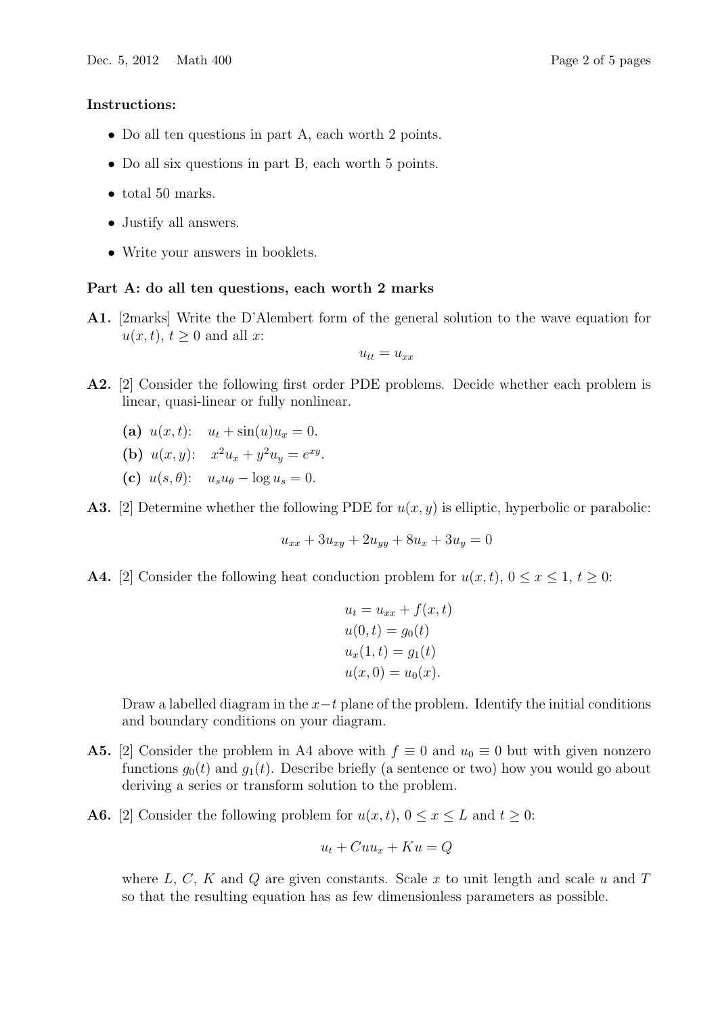## Instructions:

- Do all ten questions in part A, each worth 2 points.
- Do all six questions in part B, each worth 5 points.
- total 50 marks.
- Justify all answers.
- Write your answers in booklets.

### Part A: do all ten questions, each worth 2 marks

A1. [2marks] Write the D'Alembert form of the general solution to the wave equation for  $u(x, t), t \geq 0$  and all x:

$$
u_{tt}=u_{xx}
$$

- A2. [2] Consider the following first order PDE problems. Decide whether each problem is linear, quasi-linear or fully nonlinear.
	- (a)  $u(x, t)$ :  $u_t + \sin(u)u_x = 0$ .
	- (b)  $u(x, y)$ :  $x^2u_x + y^2u_y = e^{xy}$ .
	- (c)  $u(s, \theta)$ :  $u_s u_\theta \log u_s = 0$ .

**A3.** [2] Determine whether the following PDE for  $u(x, y)$  is elliptic, hyperbolic or parabolic:

$$
u_{xx} + 3u_{xy} + 2u_{yy} + 8u_x + 3u_y = 0
$$

**A4.** [2] Consider the following heat conduction problem for  $u(x, t)$ ,  $0 \le x \le 1$ ,  $t \ge 0$ :

$$
ut = uxx + f(x, t)
$$
  
\n
$$
u(0, t) = g0(t)
$$
  
\n
$$
ux(1, t) = g1(t)
$$
  
\n
$$
u(x, 0) = u0(x).
$$

Draw a labelled diagram in the  $x-t$  plane of the problem. Identify the initial conditions and boundary conditions on your diagram.

- **A5.** [2] Consider the problem in A4 above with  $f \equiv 0$  and  $u_0 \equiv 0$  but with given nonzero functions  $g_0(t)$  and  $g_1(t)$ . Describe briefly (a sentence or two) how you would go about deriving a series or transform solution to the problem.
- **A6.** [2] Consider the following problem for  $u(x, t)$ ,  $0 \le x \le L$  and  $t \ge 0$ :

$$
u_t + Cuu_x + Ku = Q
$$

where  $L, C, K$  and  $Q$  are given constants. Scale x to unit length and scale u and T so that the resulting equation has as few dimensionless parameters as possible.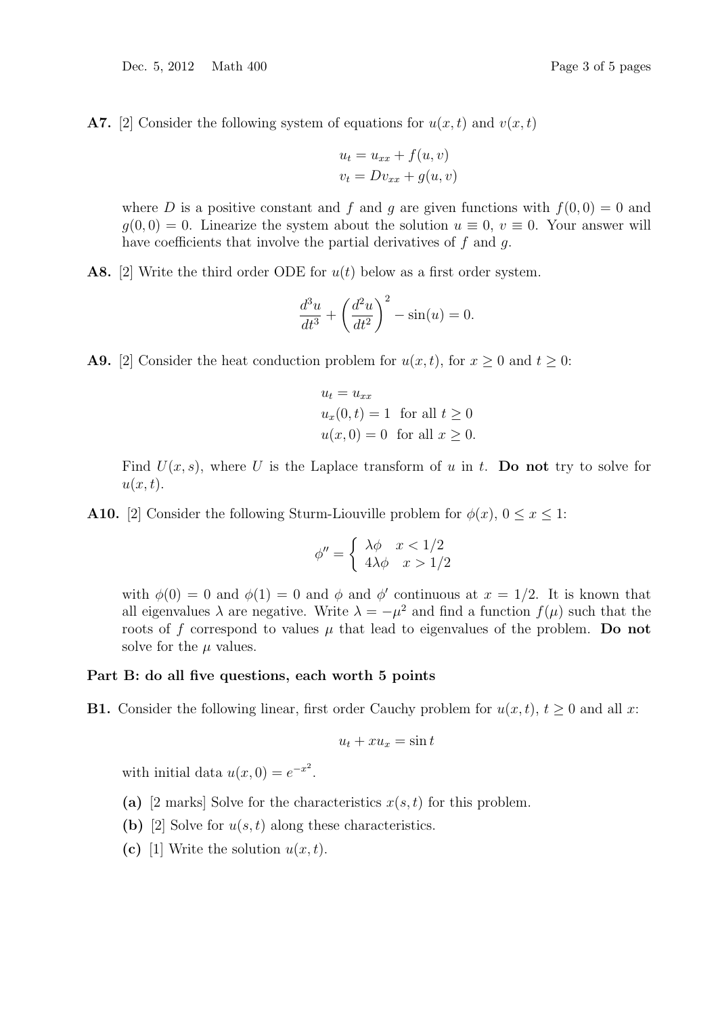Dec. 5, 2012 Math 400 Page 3 of 5 pages

A7. [2] Consider the following system of equations for  $u(x, t)$  and  $v(x, t)$ 

$$
u_t = u_{xx} + f(u, v)
$$
  

$$
v_t = Dv_{xx} + g(u, v)
$$

where D is a positive constant and f and g are given functions with  $f(0, 0) = 0$  and  $q(0,0) = 0$ . Linearize the system about the solution  $u \equiv 0$ ,  $v \equiv 0$ . Your answer will have coefficients that involve the partial derivatives of  $f$  and  $g$ .

A8. [2] Write the third order ODE for  $u(t)$  below as a first order system.

$$
\frac{d^3u}{dt^3} + \left(\frac{d^2u}{dt^2}\right)^2 - \sin(u) = 0.
$$

**A9.** [2] Consider the heat conduction problem for  $u(x, t)$ , for  $x \ge 0$  and  $t \ge 0$ :

$$
u_t = u_{xx}
$$
  
 
$$
u_x(0, t) = 1 \text{ for all } t \ge 0
$$
  
 
$$
u(x, 0) = 0 \text{ for all } x \ge 0.
$$

Find  $U(x, s)$ , where U is the Laplace transform of u in t. Do not try to solve for  $u(x, t)$ .

**A10.** [2] Consider the following Sturm-Liouville problem for  $\phi(x)$ ,  $0 \le x \le 1$ :

$$
\phi'' = \begin{cases} \lambda \phi & x < 1/2 \\ 4\lambda \phi & x > 1/2 \end{cases}
$$

with  $\phi(0) = 0$  and  $\phi(1) = 0$  and  $\phi$  and  $\phi'$  continuous at  $x = 1/2$ . It is known that all eigenvalues  $\lambda$  are negative. Write  $\lambda = -\mu^2$  and find a function  $f(\mu)$  such that the roots of f correspond to values  $\mu$  that lead to eigenvalues of the problem. Do not solve for the  $\mu$  values.

#### Part B: do all five questions, each worth 5 points

**B1.** Consider the following linear, first order Cauchy problem for  $u(x, t)$ ,  $t \ge 0$  and all x:

$$
u_t + x u_x = \sin t
$$

with initial data  $u(x, 0) = e^{-x^2}$ .

- (a) [2 marks] Solve for the characteristics  $x(s, t)$  for this problem.
- (b) [2] Solve for  $u(s,t)$  along these characteristics.
- (c) [1] Write the solution  $u(x, t)$ .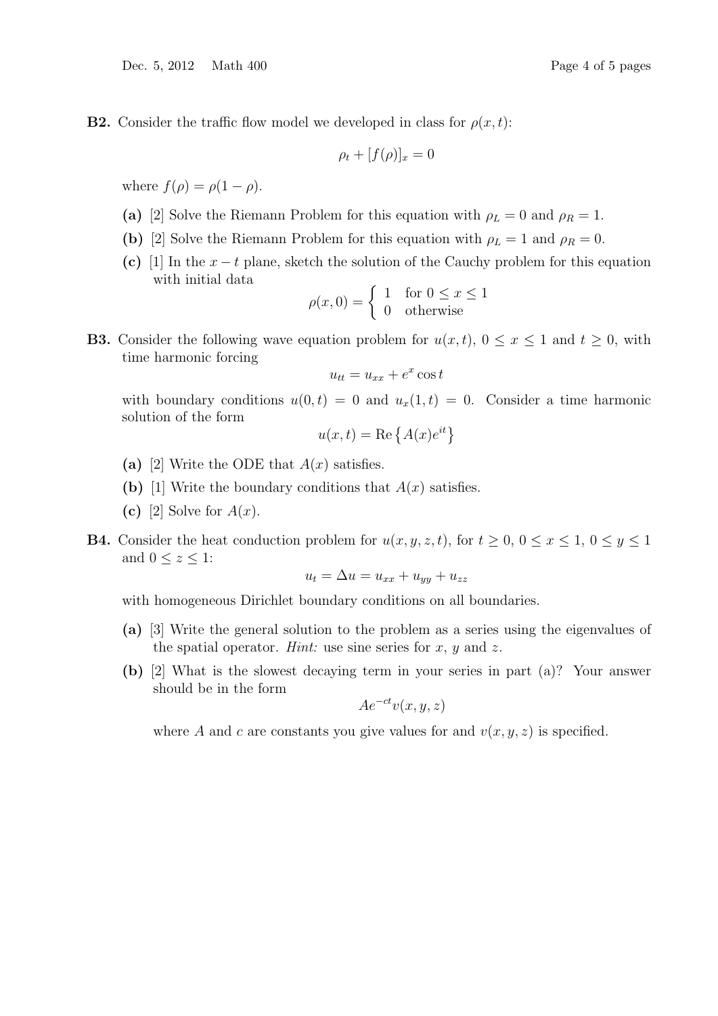**B2.** Consider the traffic flow model we developed in class for  $\rho(x, t)$ :

$$
\rho_t + [f(\rho)]_x = 0
$$

where  $f(\rho) = \rho(1-\rho)$ .

- (a) [2] Solve the Riemann Problem for this equation with  $\rho_L = 0$  and  $\rho_R = 1$ .
- (b) [2] Solve the Riemann Problem for this equation with  $\rho_L = 1$  and  $\rho_R = 0$ .
- (c) [1] In the  $x t$  plane, sketch the solution of the Cauchy problem for this equation with initial data

$$
\rho(x,0) = \begin{cases} 1 & \text{for } 0 \le x \le 1 \\ 0 & \text{otherwise} \end{cases}
$$

**B3.** Consider the following wave equation problem for  $u(x, t)$ ,  $0 \le x \le 1$  and  $t \ge 0$ , with time harmonic forcing

$$
u_{tt} = u_{xx} + e^x \cos t
$$

with boundary conditions  $u(0, t) = 0$  and  $u_x(1, t) = 0$ . Consider a time harmonic solution of the form

$$
u(x,t) = \text{Re}\left\{A(x)e^{it}\right\}
$$

- (a) [2] Write the ODE that  $A(x)$  satisfies.
- (b) [1] Write the boundary conditions that  $A(x)$  satisfies.
- (c) [2] Solve for  $A(x)$ .
- **B4.** Consider the heat conduction problem for  $u(x, y, z, t)$ , for  $t \geq 0$ ,  $0 \leq x \leq 1$ ,  $0 \leq y \leq 1$ and  $0 \leq z \leq 1$ :

$$
u_t = \Delta u = u_{xx} + u_{yy} + u_{zz}
$$

with homogeneous Dirichlet boundary conditions on all boundaries.

- (a) [3] Write the general solution to the problem as a series using the eigenvalues of the spatial operator. *Hint*: use sine series for  $x, y$  and  $z$ .
- (b) [2] What is the slowest decaying term in your series in part (a)? Your answer should be in the form

$$
Ae^{-ct}v(x,y,z)
$$

where A and c are constants you give values for and  $v(x, y, z)$  is specified.